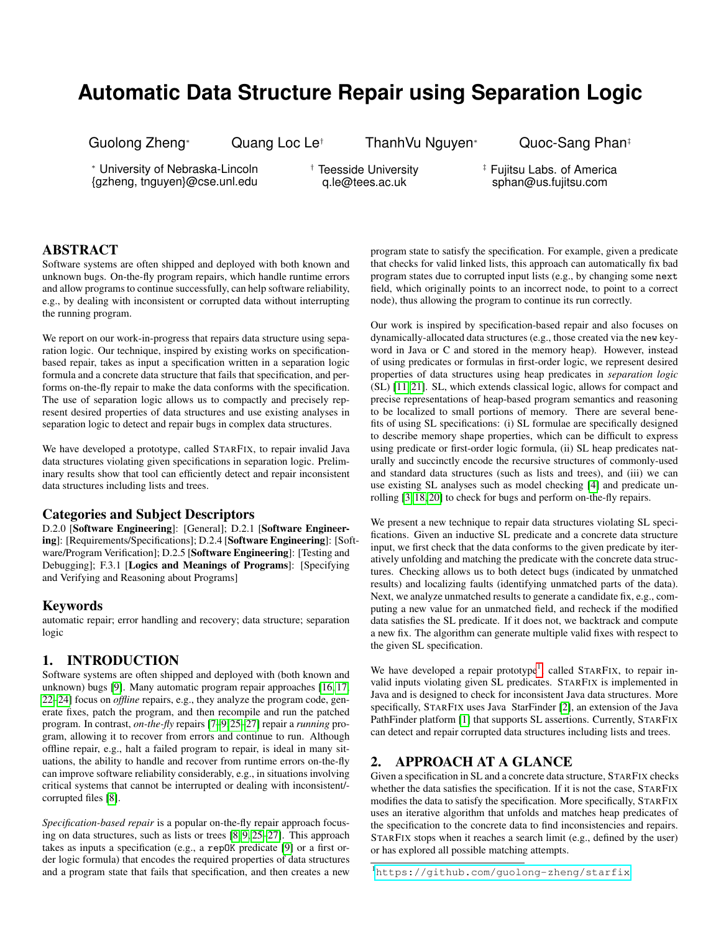# **Automatic Data Structure Repair using Separation Logic**

Guolong Zheng<sup>∗</sup> Quang Loc Le† ThanhVu Nguyen<sup>∗</sup> Quoc-Sang Phan‡

<sup>∗</sup> University of Nebraska-Lincoln {gzheng, tnguyen}@cse.unl.edu

† Teesside University q.le@tees.ac.uk

‡ Fujitsu Labs. of America sphan@us.fujitsu.com

# ABSTRACT

Software systems are often shipped and deployed with both known and unknown bugs. On-the-fly program repairs, which handle runtime errors and allow programs to continue successfully, can help software reliability, e.g., by dealing with inconsistent or corrupted data without interrupting the running program.

We report on our work-in-progress that repairs data structure using separation logic. Our technique, inspired by existing works on specificationbased repair, takes as input a specification written in a separation logic formula and a concrete data structure that fails that specification, and performs on-the-fly repair to make the data conforms with the specification. The use of separation logic allows us to compactly and precisely represent desired properties of data structures and use existing analyses in separation logic to detect and repair bugs in complex data structures.

We have developed a prototype, called STARFIX, to repair invalid Java data structures violating given specifications in separation logic. Preliminary results show that tool can efficiently detect and repair inconsistent data structures including lists and trees.

#### Categories and Subject Descriptors

D.2.0 [Software Engineering]: [General]; D.2.1 [Software Engineering]: [Requirements/Specifications]; D.2.4 [Software Engineering]: [Software/Program Verification]; D.2.5 [Software Engineering]: [Testing and Debugging]; F.3.1 [Logics and Meanings of Programs]: [Specifying and Verifying and Reasoning about Programs]

## Keywords

automatic repair; error handling and recovery; data structure; separation logic

# 1. INTRODUCTION

Software systems are often shipped and deployed with (both known and unknown) bugs [\[9\]](#page-4-0). Many automatic program repair approaches [\[16,](#page-4-1) [17,](#page-4-2) [22](#page-4-3)[–24\]](#page-4-4) focus on *offline* repairs, e.g., they analyze the program code, generate fixes, patch the program, and then recompile and run the patched program. In contrast, *on-the-fly* repairs [\[7–](#page-4-5)[9,](#page-4-0)[25](#page-4-6)[–27\]](#page-4-7) repair a *running* program, allowing it to recover from errors and continue to run. Although offline repair, e.g., halt a failed program to repair, is ideal in many situations, the ability to handle and recover from runtime errors on-the-fly can improve software reliability considerably, e.g., in situations involving critical systems that cannot be interrupted or dealing with inconsistent/ corrupted files [\[8\]](#page-4-8).

*Specification-based repair* is a popular on-the-fly repair approach focusing on data structures, such as lists or trees [\[8,](#page-4-8) [9,](#page-4-0) [25–](#page-4-6)[27\]](#page-4-7). This approach takes as inputs a specification (e.g., a repOK predicate [\[9\]](#page-4-0) or a first order logic formula) that encodes the required properties of data structures and a program state that fails that specification, and then creates a new program state to satisfy the specification. For example, given a predicate that checks for valid linked lists, this approach can automatically fix bad program states due to corrupted input lists (e.g., by changing some next field, which originally points to an incorrect node, to point to a correct node), thus allowing the program to continue its run correctly.

Our work is inspired by specification-based repair and also focuses on dynamically-allocated data structures (e.g., those created via the new keyword in Java or C and stored in the memory heap). However, instead of using predicates or formulas in first-order logic, we represent desired properties of data structures using heap predicates in *separation logic* (SL) [\[11,](#page-4-9) [21\]](#page-4-10). SL, which extends classical logic, allows for compact and precise representations of heap-based program semantics and reasoning to be localized to small portions of memory. There are several benefits of using SL specifications: (i) SL formulae are specifically designed to describe memory shape properties, which can be difficult to express using predicate or first-order logic formula, (ii) SL heap predicates naturally and succinctly encode the recursive structures of commonly-used and standard data structures (such as lists and trees), and (iii) we can use existing SL analyses such as model checking [\[4\]](#page-4-11) and predicate unrolling [\[3,](#page-4-12) [18,](#page-4-13) [20\]](#page-4-14) to check for bugs and perform on-the-fly repairs.

We present a new technique to repair data structures violating SL specifications. Given an inductive SL predicate and a concrete data structure input, we first check that the data conforms to the given predicate by iteratively unfolding and matching the predicate with the concrete data structures. Checking allows us to both detect bugs (indicated by unmatched results) and localizing faults (identifying unmatched parts of the data). Next, we analyze unmatched results to generate a candidate fix, e.g., computing a new value for an unmatched field, and recheck if the modified data satisfies the SL predicate. If it does not, we backtrack and compute a new fix. The algorithm can generate multiple valid fixes with respect to the given SL specification.

We have developed a repair prototype<sup>[1](#page-0-0)</sup>, called STARFIX, to repair invalid inputs violating given SL predicates. STARFIX is implemented in Java and is designed to check for inconsistent Java data structures. More specifically, STARFIX uses Java StarFinder [\[2\]](#page-4-15), an extension of the Java PathFinder platform [\[1\]](#page-4-16) that supports SL assertions. Currently, STARFIX can detect and repair corrupted data structures including lists and trees.

## <span id="page-0-1"></span>2. APPROACH AT A GLANCE

Given a specification in SL and a concrete data structure, STARFIX checks whether the data satisfies the specification. If it is not the case, STARFIX modifies the data to satisfy the specification. More specifically, STARFIX uses an iterative algorithm that unfolds and matches heap predicates of the specification to the concrete data to find inconsistencies and repairs. STARFIX stops when it reaches a search limit (e.g., defined by the user) or has explored all possible matching attempts.

<span id="page-0-0"></span><sup>1</sup><https://github.com/guolong-zheng/starfix>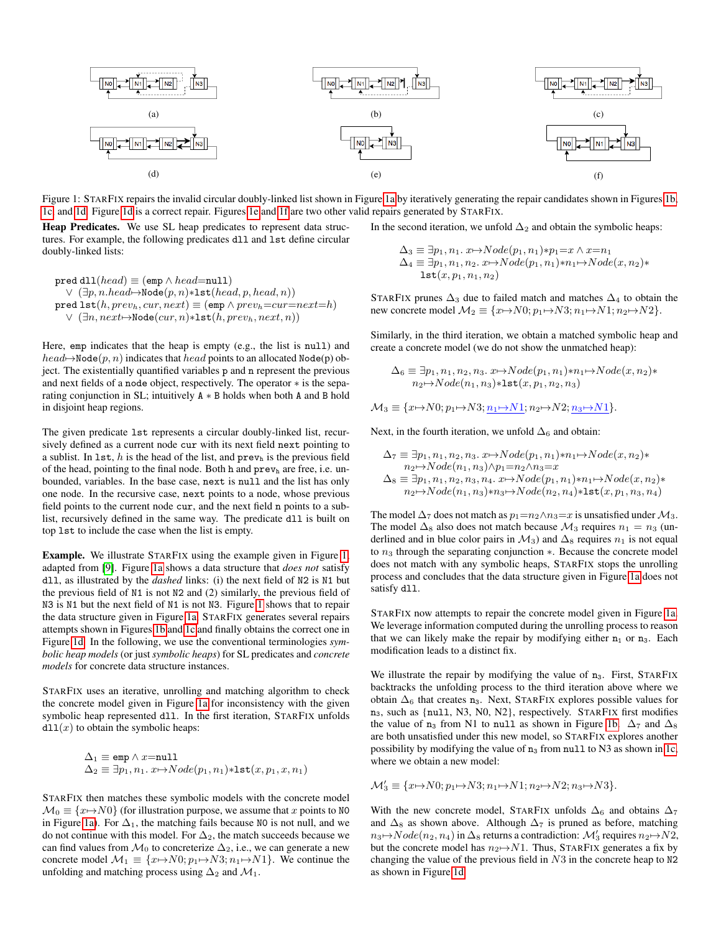<span id="page-1-0"></span>

Figure 1: STARFIX repairs the invalid circular doubly-linked list shown in Figure [1a](#page-1-0) by iteratively generating the repair candidates shown in Figures [1b,](#page-1-0) [1c,](#page-1-0) and [1d.](#page-1-0) Figure [1d](#page-1-0) is a correct repair. Figures [1e](#page-1-0) and [1f](#page-1-0) are two other valid repairs generated by STARFIX.

Heap Predicates. We use SL heap predicates to represent data structures. For example, the following predicates dll and lst define circular doubly-linked lists:

$$
\begin{array}{ll}\texttt{pred dll}(\mathit{head}) \equiv (\texttt{emp} \land \mathit{head} = \texttt{null})\\ & \lor (\exists p, n.\mathit{head} \rightarrow \texttt{Node}(p, n) * \texttt{lst}(\mathit{head}, p, \mathit{head}, n))\\ \texttt{pred lst}(h, \mathit{prev}_h, \mathit{cur}, \mathit{next}) \equiv (\texttt{emp} \land \mathit{prev}_h = \mathit{cur} = \mathit{next} = h)\\ & \lor (\exists n, \mathit{next} \rightarrow \texttt{Node}(\mathit{cur}, n) * \texttt{lst}(h, \mathit{prev}_h, \mathit{next}, n))\end{array}
$$

Here, emp indicates that the heap is empty (e.g., the list is null) and  $head \rightarrow Node(p, n)$  indicates that  $head$  points to an allocated Node(p) object. The existentially quantified variables p and n represent the previous and next fields of a node object, respectively. The operator ∗ is the separating conjunction in SL; intuitively A ∗ B holds when both A and B hold in disjoint heap regions.

The given predicate lst represents a circular doubly-linked list, recursively defined as a current node cur with its next field next pointing to a sublist. In 1st, h is the head of the list, and  $prev<sub>h</sub>$  is the previous field of the head, pointing to the final node. Both h and  $prev<sub>h</sub>$  are free, i.e. unbounded, variables. In the base case, next is null and the list has only one node. In the recursive case, next points to a node, whose previous field points to the current node cur, and the next field n points to a sublist, recursively defined in the same way. The predicate dll is built on top lst to include the case when the list is empty.

Example. We illustrate STARFIX using the example given in Figure [1,](#page-1-0) adapted from [\[9\]](#page-4-0). Figure [1a](#page-1-0) shows a data structure that *does not* satisfy dll, as illustrated by the *dashed* links: (i) the next field of N2 is N1 but the previous field of N1 is not N2 and (2) similarly, the previous field of N3 is N1 but the next field of N1 is not N3. Figure [1](#page-1-0) shows that to repair the data structure given in Figure [1a,](#page-1-0) STARFIX generates several repairs attempts shown in Figures [1b](#page-1-0) and [1c](#page-1-0) and finally obtains the correct one in Figure [1d.](#page-1-0) In the following, we use the conventional terminologies *symbolic heap models* (or just *symbolic heaps*) for SL predicates and *concrete models* for concrete data structure instances.

STARFIX uses an iterative, unrolling and matching algorithm to check the concrete model given in Figure [1a](#page-1-0) for inconsistency with the given symbolic heap represented dll. In the first iteration, STARFIX unfolds  $d11(x)$  to obtain the symbolic heaps:

$$
\Delta_1 \equiv \text{emp} \land x = \text{null}
$$
  

$$
\Delta_2 \equiv \exists p_1, n_1. x \mapsto Node(p_1, n_1) * \text{lst}(x, p_1, x, n_1)
$$

STARFIX then matches these symbolic models with the concrete model  $\mathcal{M}_0 \equiv \{x \mapsto N0\}$  (for illustration purpose, we assume that x points to NO in Figure [1a\)](#page-1-0). For  $\Delta_1$ , the matching fails because N0 is not null, and we do not continue with this model. For  $\Delta_2$ , the match succeeds because we can find values from  $\mathcal{M}_0$  to concreterize  $\Delta_2$ , i.e., we can generate a new concrete model  $\mathcal{M}_1 \equiv \{x \mapsto N0; p_1 \mapsto N3; n_1 \mapsto N1\}$ . We continue the unfolding and matching process using  $\Delta_2$  and  $\mathcal{M}_1$ .

In the second iteration, we unfold  $\Delta_2$  and obtain the symbolic heaps:

 $\Delta_3 \equiv \exists p_1, n_1. x \mapsto Node(p_1, n_1)*p_1=x \wedge x=n_1$  $\Delta_4 \equiv \exists p_1, n_1, n_2. x \mapsto Node(p_1, n_1)*n_1 \mapsto Node(x, n_2)*$  $\mathtt{lst}(x, p_1, n_1, n_2)$ 

STARFIX prunes  $\Delta_3$  due to failed match and matches  $\Delta_4$  to obtain the new concrete model  $M_2 \equiv \{x \mapsto N0; p_1 \mapsto N3; n_1 \mapsto N1; n_2 \mapsto N2\}.$ 

Similarly, in the third iteration, we obtain a matched symbolic heap and create a concrete model (we do not show the unmatched heap):

$$
\Delta_6 \equiv \exists p_1, n_1, n_2, n_3. x \mapsto Node(p_1, n_1) * n_1 \mapsto Node(x, n_2) * n_2 \mapsto Node(n_1, n_3) * \text{lst}(x, p_1, n_2, n_3)
$$

 $M_3 \equiv \{x \mapsto N0; p_1 \mapsto N3; n_1 \mapsto N1; n_2 \mapsto N2; n_3 \mapsto N1\}.$ 

Next, in the fourth iteration, we unfold  $\Delta_6$  and obtain:

$$
\Delta_7 \equiv \exists p_1, n_1, n_2, n_3. x \mapsto Node(p_1, n_1) * n_1 \mapsto Node(x, n_2) *n_2 \mapsto Node(n_1, n_3) \wedge p_1 = n_2 \wedge n_3 = x\Delta_8 \equiv \exists p_1, n_1, n_2, n_3, n_4. x \mapsto Node(p_1, n_1) * n_1 \mapsto Node(x, n_2) *n_2 \mapsto Node(n_1, n_3) * n_3 \mapsto Node(n_2, n_4) * \text{lst}(x, p_1, n_3, n_4)
$$

The model  $\Delta_7$  does not match as  $p_1=n_2 \wedge n_3=x$  is unsatisfied under  $\mathcal{M}_3$ . The model  $\Delta_8$  also does not match because  $\mathcal{M}_3$  requires  $n_1 = n_3$  (underlined and in blue color pairs in  $\mathcal{M}_3$ ) and  $\Delta_8$  requires  $n_1$  is not equal to  $n_3$  through the separating conjunction  $*$ . Because the concrete model does not match with any symbolic heaps, STARFIX stops the unrolling process and concludes that the data structure given in Figure [1a](#page-1-0) does not satisfy d<sub>11</sub>.

STARFIX now attempts to repair the concrete model given in Figure [1a.](#page-1-0) We leverage information computed during the unrolling process to reason that we can likely make the repair by modifying either  $n_1$  or  $n_3$ . Each modification leads to a distinct fix.

We illustrate the repair by modifying the value of n<sub>3</sub>. First, STARFIX backtracks the unfolding process to the third iteration above where we obtain  $\Delta_6$  that creates n<sub>3</sub>. Next, STARFIX explores possible values for n3, such as {null, N3, N0, N2}, respectively. STARFIX first modifies the value of n<sub>3</sub> from N1 to null as shown in Figure [1b.](#page-1-0)  $\Delta_7$  and  $\Delta_8$ are both unsatisfied under this new model, so STARFIX explores another possibility by modifying the value of  $n_3$  from null to N3 as shown in [1c,](#page-1-0) where we obtain a new model:

 $\mathcal{M}'_3 \equiv \{x \mapsto N0; p_1 \mapsto N3; n_1 \mapsto N1; n_2 \mapsto N2; n_3 \mapsto N3\}.$ 

With the new concrete model, STARFIX unfolds  $\Delta_6$  and obtains  $\Delta_7$ and  $\Delta_8$  as shown above. Although  $\Delta_7$  is pruned as before, matching  $n_3 \mapsto Node(n_2, n_4)$  in  $\Delta_8$  returns a contradiction:  $\mathcal{M}'_3$  requires  $n_2 \mapsto N2$ , but the concrete model has  $n_2 \mapsto N1$ . Thus, STARFIX generates a fix by changing the value of the previous field in  $N3$  in the concrete heap to  $N2$ as shown in Figure [1d.](#page-1-0)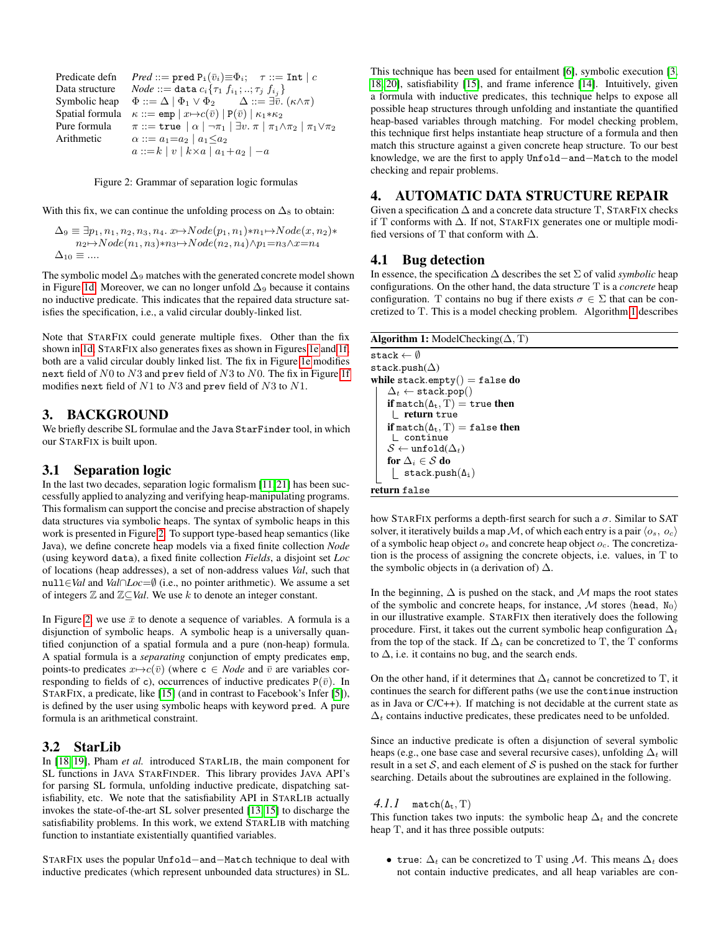<span id="page-2-0"></span>Predicate defn  $Pred ::= \text{pred } P_i(\bar{v}_i) \equiv \Phi_i; \quad \tau ::= \text{Int} | c$ Data structure  $Node ::= \texttt{data} \ c_i \{\tau_1 \ f_{i_1}; ..; \tau_j \ f_{i_j}\}$ Symbolic heap  $\Phi ::= \Delta \mid \Phi_1 \lor \Phi_2$   $\Delta ::= \exists \overline{v}. (\kappa \land \pi)$ Spatial formula  $\kappa ::= \text{emp} | x \mapsto c(\bar{v}) | P(\bar{v}) | \kappa_1 * \kappa_2$ Pure formula  $\pi ::= \text{true} \mid \alpha \mid \neg \pi_1 \mid \exists v. \ \pi \mid \pi_1 \wedge \pi_2 \mid \pi_1 \vee \pi_2$ Arithmetic  $\alpha ::= a_1=a_2 \mid a_1 \leq a_2$  $a ::= k | v | k \times a | a_1 + a_2 | -a$ 

#### Figure 2: Grammar of separation logic formulas

With this fix, we can continue the unfolding process on  $\Delta_8$  to obtain:

 $\Delta_9 \equiv \exists p_1, n_1, n_2, n_3, n_4. x \mapsto Node(p_1, n_1) * n_1 \mapsto Node(x, n_2) *$  $n_2 \rightarrow Node(n_1, n_3)*n_3 \rightarrow Node(n_2, n_4)\land p_1=n_3\land x=n_4$  $\Delta_{10} \equiv$  ....

The symbolic model  $\Delta_9$  matches with the generated concrete model shown in Figure [1d.](#page-1-0) Moreover, we can no longer unfold  $\Delta_9$  because it contains no inductive predicate. This indicates that the repaired data structure satisfies the specification, i.e., a valid circular doubly-linked list.

Note that STARFIX could generate multiple fixes. Other than the fix shown in [1d,](#page-1-0) STARFIX also generates fixes as shown in Figures [1e](#page-1-0) and [1f,](#page-1-0) both are a valid circular doubly linked list. The fix in Figure [1e](#page-1-0) modifies next field of N0 to N3 and prev field of N3 to N0. The fix in Figure [1f](#page-1-0) modifies next field of N1 to N3 and prev field of N3 to N1.

#### 3. BACKGROUND

We briefly describe SL formulae and the Java StarFinder tool, in which our STARFIX is built upon.

## 3.1 Separation logic

In the last two decades, separation logic formalism [\[11,](#page-4-9) [21\]](#page-4-10) has been successfully applied to analyzing and verifying heap-manipulating programs. This formalism can support the concise and precise abstraction of shapely data structures via symbolic heaps. The syntax of symbolic heaps in this work is presented in Figure [2.](#page-2-0) To support type-based heap semantics (like Java), we define concrete heap models via a fixed finite collection *Node* (using keyword data), a fixed finite collection *Fields*, a disjoint set *Loc* of locations (heap addresses), a set of non-address values *Val*, such that null∈*Val* and *Val*∩*Loc*=∅ (i.e., no pointer arithmetic). We assume a set of integers Z and Z⊆*Val*. We use k to denote an integer constant.

In Figure [2,](#page-2-0) we use  $\bar{x}$  to denote a sequence of variables. A formula is a disjunction of symbolic heaps. A symbolic heap is a universally quantified conjunction of a spatial formula and a pure (non-heap) formula. A spatial formula is a *separating* conjunction of empty predicates emp, points-to predicates  $x \mapsto c(\bar{v})$  (where  $c \in \text{Node}$  and  $\bar{v}$  are variables corresponding to fields of c), occurrences of inductive predicates  $P(\bar{v})$ . In STARFIX, a predicate, like [\[15\]](#page-4-17) (and in contrast to Facebook's Infer [\[5\]](#page-4-18)), is defined by the user using symbolic heaps with keyword pred. A pure formula is an arithmetical constraint.

#### 3.2 StarLib

In [\[18,](#page-4-13) [19\]](#page-4-19), Pham *et al.* introduced STARLIB, the main component for SL functions in JAVA STARFINDER. This library provides JAVA API's for parsing SL formula, unfolding inductive predicate, dispatching satisfiability, etc. We note that the satisfiability API in STARLIB actually invokes the state-of-the-art SL solver presented [\[13,](#page-4-20) [15\]](#page-4-17) to discharge the satisfiability problems. In this work, we extend STARLIB with matching function to instantiate existentially quantified variables.

STARFIX uses the popular Unfold−and−Match technique to deal with inductive predicates (which represent unbounded data structures) in SL.

This technique has been used for entailment [\[6\]](#page-4-21), symbolic execution [\[3,](#page-4-12) [18,](#page-4-13) [20\]](#page-4-14), satisfiability [\[15\]](#page-4-17), and frame inference [\[14\]](#page-4-22). Intuitively, given a formula with inductive predicates, this technique helps to expose all possible heap structures through unfolding and instantiate the quantified heap-based variables through matching. For model checking problem, this technique first helps instantiate heap structure of a formula and then match this structure against a given concrete heap structure. To our best knowledge, we are the first to apply Unfold−and−Match to the model checking and repair problems.

#### 4. AUTOMATIC DATA STRUCTURE REPAIR

Given a specification  $\Delta$  and a concrete data structure T, STARFIX checks if T conforms with ∆. If not, STARFIX generates one or multiple modified versions of T that conform with  $\Delta$ .

#### 4.1 Bug detection

In essence, the specification  $\Delta$  describes the set  $\Sigma$  of valid *symbolic* heap configurations. On the other hand, the data structure T is a *concrete* heap configuration. T contains no bug if there exists  $\sigma \in \Sigma$  that can be concretized to T. This is a model checking problem. Algorithm [1](#page-2-1) describes

Algorithm 1: ModelChecking( $\Delta$ , T) stack  $\leftarrow$   $\emptyset$ stack.push $(\Delta)$ while stack.empty $()$  = false do  $\Delta_t \leftarrow$  stack.pop() if match( $\Delta_t$ , T) = true then  $\mathrel{\sqsubset}$  return true if match $(\Delta_t, T) =$  false then continue  $\mathcal{S} \leftarrow \texttt{unfold}(\Delta_t)$ for  $\Delta_i \in \mathcal{S}$  do  $\lfloor$  stack.push $(\Delta_i)$ return false

<span id="page-2-1"></span>how STARFIX performs a depth-first search for such a  $\sigma$ . Similar to SAT solver, it iteratively builds a map M, of which each entry is a pair  $\langle o_s, o_c \rangle$ of a symbolic heap object  $o_s$  and concrete heap object  $o_c$ . The concretization is the process of assigning the concrete objects, i.e. values, in T to the symbolic objects in (a derivation of)  $\Delta$ .

In the beginning,  $\Delta$  is pushed on the stack, and  $\mathcal M$  maps the root states of the symbolic and concrete heaps, for instance, M stores (head,  $N_0$ ) in our illustrative example. STARFIX then iteratively does the following procedure. First, it takes out the current symbolic heap configuration  $\Delta_t$ from the top of the stack. If  $\Delta_t$  can be concretized to T, the T conforms to  $\Delta$ , i.e. it contains no bug, and the search ends.

On the other hand, if it determines that  $\Delta_t$  cannot be concretized to T, it continues the search for different paths (we use the continue instruction as in Java or  $C/C++$ ). If matching is not decidable at the current state as  $\Delta_t$  contains inductive predicates, these predicates need to be unfolded.

Since an inductive predicate is often a disjunction of several symbolic heaps (e.g., one base case and several recursive cases), unfolding  $\Delta_t$  will result in a set  $S$ , and each element of  $S$  is pushed on the stack for further searching. Details about the subroutines are explained in the following.

#### $4.1.1$  match( $\Delta_t$ , T)

This function takes two inputs: the symbolic heap  $\Delta_t$  and the concrete heap T, and it has three possible outputs:

• true:  $\Delta_t$  can be concretized to T using M. This means  $\Delta_t$  does not contain inductive predicates, and all heap variables are con-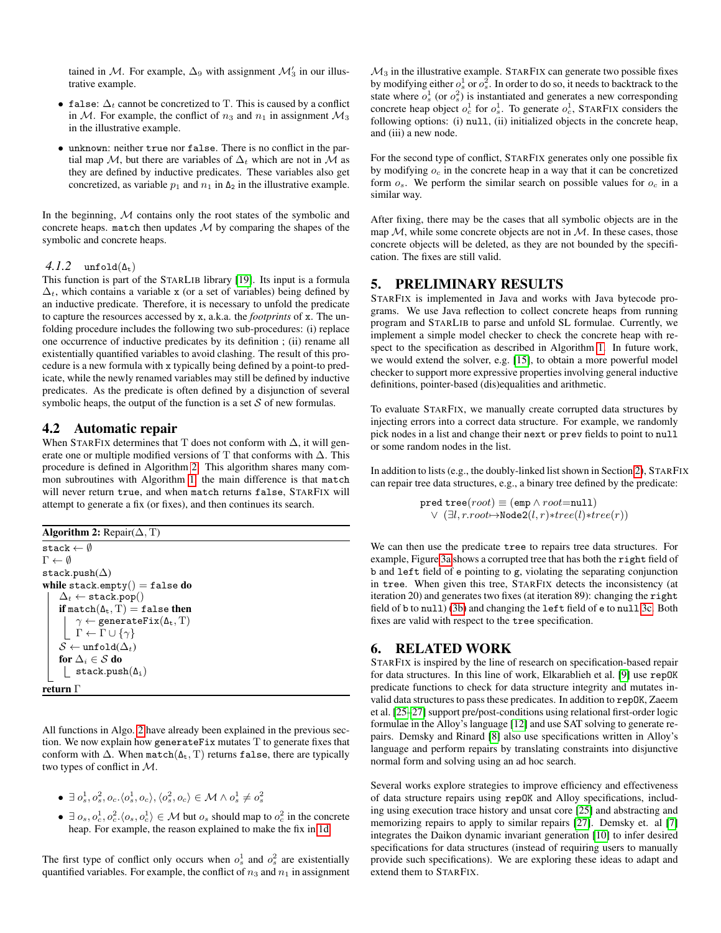tained in M. For example,  $\Delta_9$  with assignment  $\mathcal{M}_3'$  in our illustrative example.

- false:  $\Delta_t$  cannot be concretized to T. This is caused by a conflict in  $M$ . For example, the conflict of  $n_3$  and  $n_1$  in assignment  $M_3$ in the illustrative example.
- unknown: neither true nor false. There is no conflict in the partial map M, but there are variables of  $\Delta_t$  which are not in M as they are defined by inductive predicates. These variables also get concretized, as variable  $p_1$  and  $n_1$  in  $\Delta_2$  in the illustrative example.

In the beginning,  $M$  contains only the root states of the symbolic and concrete heaps. match then updates  $M$  by comparing the shapes of the symbolic and concrete heaps.

#### $4.1.2 \quad \text{unfold}(\Delta_t)$

This function is part of the STARLIB library [\[19\]](#page-4-19). Its input is a formula  $\Delta_t$ , which contains a variable x (or a set of variables) being defined by an inductive predicate. Therefore, it is necessary to unfold the predicate to capture the resources accessed by x, a.k.a. the *footprints* of x. The unfolding procedure includes the following two sub-procedures: (i) replace one occurrence of inductive predicates by its definition ; (ii) rename all existentially quantified variables to avoid clashing. The result of this procedure is a new formula with x typically being defined by a point-to predicate, while the newly renamed variables may still be defined by inductive predicates. As the predicate is often defined by a disjunction of several symbolic heaps, the output of the function is a set  $S$  of new formulas.

#### 4.2 Automatic repair

When STARFIX determines that T does not conform with  $\Delta$ , it will generate one or multiple modified versions of T that conforms with ∆. This procedure is defined in Algorithm [2.](#page-3-0) This algorithm shares many common subroutines with Algorithm [1,](#page-2-1) the main difference is that match will never return true, and when match returns false, STARFIX will attempt to generate a fix (or fixes), and then continues its search.

Algorithm 2: Repair $(∆, T)$ 

```
stack \leftarrow \emptyset\Gamma \leftarrow \emptysetstack.push(\Delta)while stack.empty() = false do
 \Delta_t \leftarrow stack.pop()
if match(\Delta_t, T) = false then
       \gamma \leftarrow generateFix(\Delta_t, T)
      \Gamma \leftarrow \Gamma \cup \{\gamma\}\mathcal{S} \leftarrow \texttt{unfold}(\Delta_t)for \Delta_i \in \mathcal{S} do
  | stack.push(\Delta_i)return Γ
```
<span id="page-3-0"></span>All functions in Algo. [2](#page-3-0) have already been explained in the previous section. We now explain how generateFix mutates T to generate fixes that conform with  $\Delta$ . When match( $\Delta_t$ , T) returns false, there are typically two types of conflict in M.

$$
\bullet \ \exists \ o^1_s, o^2_s, o_c. \langle o^1_s, o_c \rangle, \langle o^2_s, o_c \rangle \in \mathcal{M} \land o^1_s \neq o^2_s
$$

•  $\exists o_s, o_c^1, o_c^2 \ldots \langle o_s, o_c^1 \rangle \in \mathcal{M}$  but  $o_s$  should map to  $o_c^2$  in the concrete heap. For example, the reason explained to make the fix in [1d.](#page-1-0)

The first type of conflict only occurs when  $o_s^1$  and  $o_s^2$  are existentially quantified variables. For example, the conflict of  $n_3$  and  $n_1$  in assignment  $\mathcal{M}_3$  in the illustrative example. STARFIX can generate two possible fixes by modifying either  $o_s^1$  or  $o_s^2$ . In order to do so, it needs to backtrack to the state where  $o_s^1$  (or  $o_s^2$ ) is instantiated and generates a new corresponding concrete heap object  $o_c^1$  for  $o_s^1$ . To generate  $o_c^1$ , STARFIX considers the following options: (i) null, (ii) initialized objects in the concrete heap, and (iii) a new node.

For the second type of conflict, STARFIX generates only one possible fix by modifying  $o_c$  in the concrete heap in a way that it can be concretized form  $o_s$ . We perform the similar search on possible values for  $o_c$  in a similar way.

After fixing, there may be the cases that all symbolic objects are in the map  $M$ , while some concrete objects are not in  $M$ . In these cases, those concrete objects will be deleted, as they are not bounded by the specification. The fixes are still valid.

# 5. PRELIMINARY RESULTS

STARFIX is implemented in Java and works with Java bytecode programs. We use Java reflection to collect concrete heaps from running program and STARLIB to parse and unfold SL formulae. Currently, we implement a simple model checker to check the concrete heap with respect to the specification as described in Algorithm [1.](#page-2-1) In future work, we would extend the solver, e.g. [\[15\]](#page-4-17), to obtain a more powerful model checker to support more expressive properties involving general inductive definitions, pointer-based (dis)equalities and arithmetic.

To evaluate STARFIX, we manually create corrupted data structures by injecting errors into a correct data structure. For example, we randomly pick nodes in a list and change their next or prev fields to point to null or some random nodes in the list.

In addition to lists (e.g., the doubly-linked list shown in Section [2\)](#page-0-1), STARFIX can repair tree data structures, e.g., a binary tree defined by the predicate:

$$
\texttt{pred tree}(\textit{root}) \equiv (\texttt{emp} \land \textit{root} = \texttt{null}) \\ \lor (\exists l, r.\textit{root} \mapsto \texttt{Node2}(l,r)*tree(l)*tree(r))
$$

We can then use the predicate tree to repairs tree data structures. For example, Figure [3a](#page-4-23) shows a corrupted tree that has both the right field of b and left field of e pointing to g, violating the separating conjunction in tree. When given this tree, STARFIX detects the inconsistency (at iteration 20) and generates two fixes (at iteration 89): changing the right field of b to null) [\(3b\)](#page-4-23) and changing the left field of e to null [3c.](#page-4-23) Both fixes are valid with respect to the tree specification.

## 6. RELATED WORK

STARFIX is inspired by the line of research on specification-based repair for data structures. In this line of work, Elkarablieh et al. [\[9\]](#page-4-0) use repOK predicate functions to check for data structure integrity and mutates invalid data structures to pass these predicates. In addition to repOK, Zaeem et al. [\[25–](#page-4-6)[27\]](#page-4-7) support pre/post-conditions using relational first-order logic formulae in the Alloy's language [\[12\]](#page-4-24) and use SAT solving to generate repairs. Demsky and Rinard [\[8\]](#page-4-8) also use specifications written in Alloy's language and perform repairs by translating constraints into disjunctive normal form and solving using an ad hoc search.

Several works explore strategies to improve efficiency and effectiveness of data structure repairs using repOK and Alloy specifications, including using execution trace history and unsat core [\[25\]](#page-4-6) and abstracting and memorizing repairs to apply to similar repairs [\[27\]](#page-4-7). Demsky et. al [\[7\]](#page-4-5) integrates the Daikon dynamic invariant generation [\[10\]](#page-4-25) to infer desired specifications for data structures (instead of requiring users to manually provide such specifications). We are exploring these ideas to adapt and extend them to STARFIX.